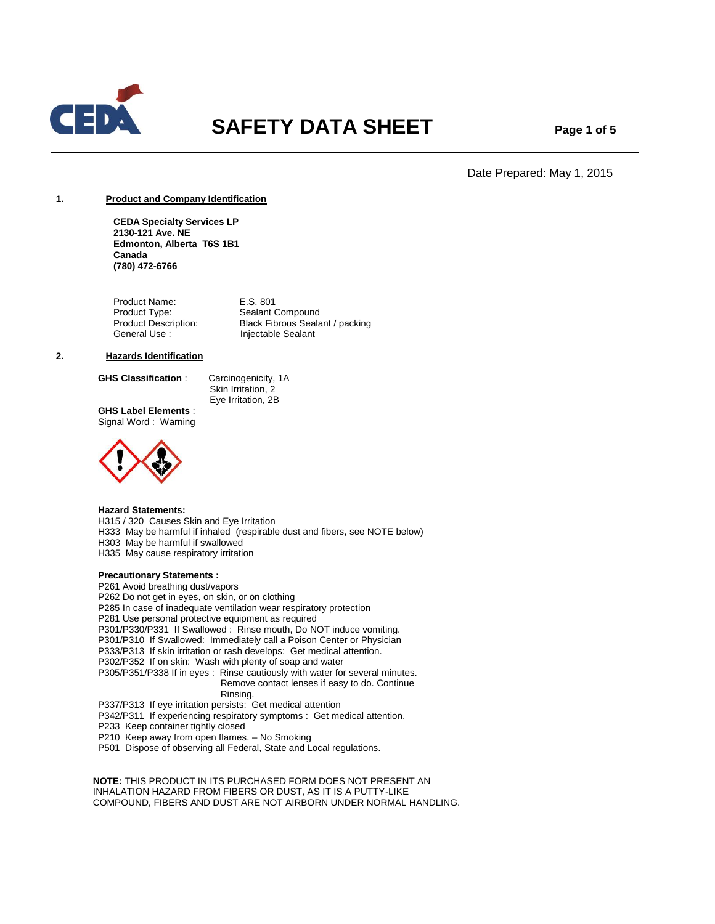

# **SAFETY DATA SHEET** Page 1 of 5

Date Prepared: May 1, 2015

## **1. Product and Company Identification**

**CEDA Specialty Services LP 2130-121 Ave. NE Edmonton, Alberta T6S 1B1 Canada (780) 472-6766**

Product Name: E.S. 801 Product Type: Sealant Compound<br>
Product Description: Black Fibrous Seala Product Description: Black Fibrous Sealant / packing<br>
General Use : lnjectable Sealant Injectable Sealant

## **2. Hazards Identification**

**GHS Classification** : Carcinogenicity, 1A

 Skin Irritation, 2 Eye Irritation, 2B

**GHS Label Elements** : Signal Word : Warning



#### **Hazard Statements:**

H315 / 320 Causes Skin and Eye Irritation H333 May be harmful if inhaled (respirable dust and fibers, see NOTE below) H303 May be harmful if swallowed H335 May cause respiratory irritation

## **Precautionary Statements :**

P261 Avoid breathing dust/vapors P262 Do not get in eyes, on skin, or on clothing P285 In case of inadequate ventilation wear respiratory protection P281 Use personal protective equipment as required P301/P330/P331 If Swallowed : Rinse mouth, Do NOT induce vomiting. P301/P310 If Swallowed: Immediately call a Poison Center or Physician P333/P313 If skin irritation or rash develops: Get medical attention. P302/P352 If on skin: Wash with plenty of soap and water P305/P351/P338 If in eyes : Rinse cautiously with water for several minutes. Remove contact lenses if easy to do. Continue Rinsing. P337/P313 If eye irritation persists: Get medical attention

P342/P311 If experiencing respiratory symptoms : Get medical attention. P233 Keep container tightly closed P210 Keep away from open flames. – No Smoking

P501 Dispose of observing all Federal, State and Local regulations.

 **NOTE:** THIS PRODUCT IN ITS PURCHASED FORM DOES NOT PRESENT AN INHALATION HAZARD FROM FIBERS OR DUST, AS IT IS A PUTTY-LIKE COMPOUND, FIBERS AND DUST ARE NOT AIRBORN UNDER NORMAL HANDLING.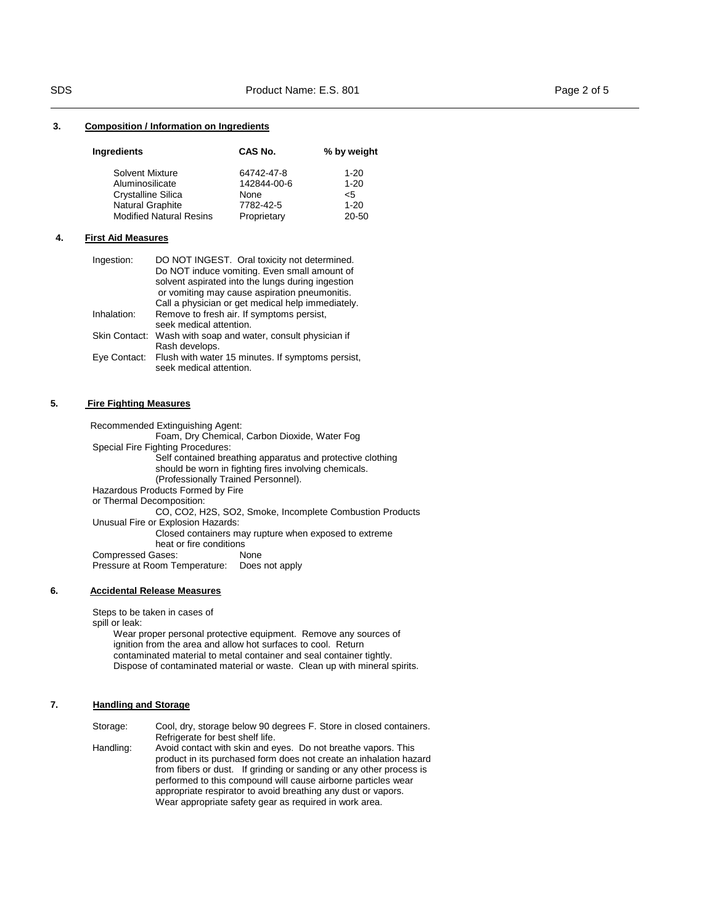## **3. Composition / Information on Ingredients**

| Ingredients                    | CAS No.     | % by weight |
|--------------------------------|-------------|-------------|
| Solvent Mixture                | 64742-47-8  | $1 - 20$    |
| Aluminosilicate                | 142844-00-6 | $1 - 20$    |
| <b>Crystalline Silica</b>      | None        | $<$ 5       |
| Natural Graphite               | 7782-42-5   | $1 - 20$    |
| <b>Modified Natural Resins</b> | Proprietary | 20-50       |

## **4. First Aid Measures**

| Ingestion:  | DO NOT INGEST. Oral toxicity not determined.                                                       |
|-------------|----------------------------------------------------------------------------------------------------|
|             | Do NOT induce vomiting. Even small amount of                                                       |
|             | solvent aspirated into the lungs during ingestion<br>or vomiting may cause aspiration pneumonitis. |
|             | Call a physician or get medical help immediately.                                                  |
| Inhalation: | Remove to fresh air. If symptoms persist,                                                          |
|             | seek medical attention.                                                                            |
|             | Skin Contact: Wash with soap and water, consult physician if                                       |
|             | Rash develops.                                                                                     |
|             | Eye Contact: Flush with water 15 minutes. If symptoms persist,<br>seek medical attention.          |

## **5. Fire Fighting Measures**

Recommended Extinguishing Agent:

Foam, Dry Chemical, Carbon Dioxide, Water Fog

Special Fire Fighting Procedures:

Self contained breathing apparatus and protective clothing should be worn in fighting fires involving chemicals. (Professionally Trained Personnel). Hazardous Products Formed by Fire or Thermal Decomposition: CO, CO2, H2S, SO2, Smoke, Incomplete Combustion Products Unusual Fire or Explosion Hazards:

 Closed containers may rupture when exposed to extreme heat or fire conditions<br>ases: None Compressed Gases:

Pressure at Room Temperature: Does not apply

## **6. Accidental Release Measures**

Steps to be taken in cases of

spill or leak:

 Wear proper personal protective equipment. Remove any sources of ignition from the area and allow hot surfaces to cool. Return contaminated material to metal container and seal container tightly. Dispose of contaminated material or waste. Clean up with mineral spirits.

## **7. Handling and Storage**

| Storage:  | Cool, dry, storage below 90 degrees F. Store in closed containers.                                                                                                                                                                                                          |
|-----------|-----------------------------------------------------------------------------------------------------------------------------------------------------------------------------------------------------------------------------------------------------------------------------|
|           | Refrigerate for best shelf life.                                                                                                                                                                                                                                            |
| Handling: | Avoid contact with skin and eyes. Do not breathe vapors. This<br>product in its purchased form does not create an inhalation hazard<br>from fibers or dust. If grinding or sanding or any other process is<br>performed to this compound will cause airborne particles wear |
|           | appropriate respirator to avoid breathing any dust or vapors.                                                                                                                                                                                                               |
|           | Wear appropriate safety gear as required in work area.                                                                                                                                                                                                                      |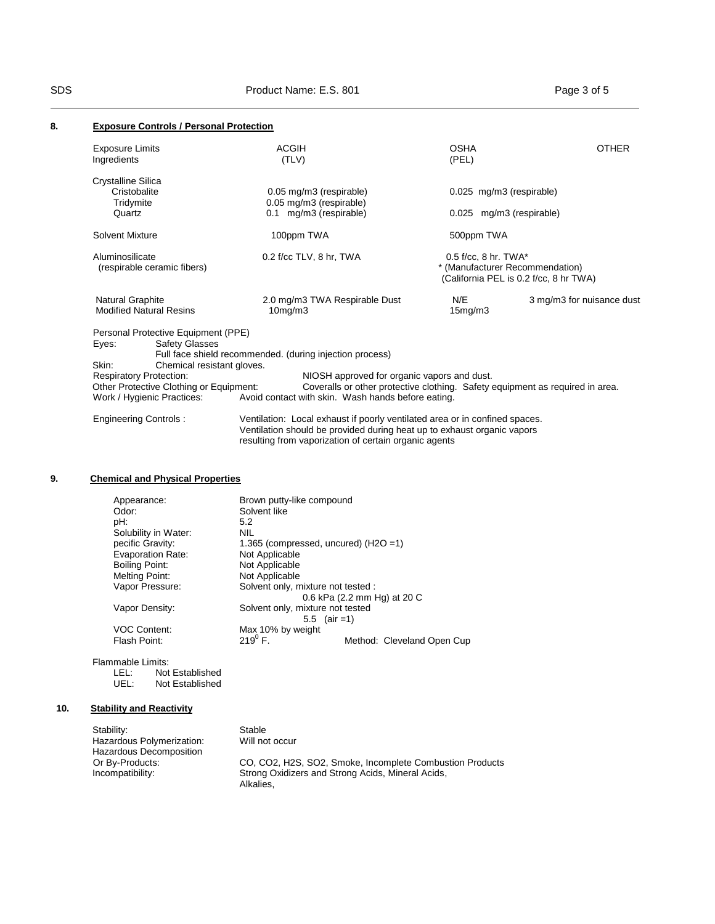## **8. Exposure Controls / Personal Protection**

| <b>Exposure Limits</b><br>Ingredients |                                         | <b>ACGIH</b><br>(TLV)                                                                                                                                                                                           | <b>OSHA</b><br>(PEL)                                                                                | <b>OTHER</b>              |
|---------------------------------------|-----------------------------------------|-----------------------------------------------------------------------------------------------------------------------------------------------------------------------------------------------------------------|-----------------------------------------------------------------------------------------------------|---------------------------|
| <b>Crystalline Silica</b>             |                                         |                                                                                                                                                                                                                 |                                                                                                     |                           |
| Tridymite                             | Cristobalite                            | 0.05 mg/m3 (respirable)<br>0.05 mg/m3 (respirable)                                                                                                                                                              | 0.025 mg/m3 (respirable)                                                                            |                           |
| Quartz                                |                                         | 0.1 mg/m3 (respirable)                                                                                                                                                                                          | 0.025 mg/m3 (respirable)                                                                            |                           |
| Solvent Mixture                       |                                         | 100ppm TWA                                                                                                                                                                                                      | 500ppm TWA                                                                                          |                           |
| Aluminosilicate                       | (respirable ceramic fibers)             | $0.2$ f/cc TLV, 8 hr, TWA                                                                                                                                                                                       | $0.5$ f/cc, 8 hr. TWA*<br>* (Manufacturer Recommendation)<br>(California PEL is 0.2 f/cc, 8 hr TWA) |                           |
| Natural Graphite                      | <b>Modified Natural Resins</b>          | 2.0 mg/m3 TWA Respirable Dust<br>10mg/m3                                                                                                                                                                        | N/E<br>15mg/m3                                                                                      | 3 mg/m3 for nuisance dust |
|                                       | Personal Protective Equipment (PPE)     |                                                                                                                                                                                                                 |                                                                                                     |                           |
| Eyes:                                 | <b>Safety Glasses</b>                   |                                                                                                                                                                                                                 |                                                                                                     |                           |
|                                       |                                         | Full face shield recommended. (during injection process)                                                                                                                                                        |                                                                                                     |                           |
| Skin:                                 | Chemical resistant gloves.              |                                                                                                                                                                                                                 |                                                                                                     |                           |
|                                       | <b>Respiratory Protection:</b>          | NIOSH approved for organic vapors and dust.                                                                                                                                                                     |                                                                                                     |                           |
|                                       | Other Protective Clothing or Equipment: |                                                                                                                                                                                                                 | Coveralls or other protective clothing. Safety equipment as required in area.                       |                           |
|                                       | Work / Hygienic Practices:              | Avoid contact with skin. Wash hands before eating.                                                                                                                                                              |                                                                                                     |                           |
|                                       | <b>Engineering Controls:</b>            | Ventilation: Local exhaust if poorly ventilated area or in confined spaces.<br>Ventilation should be provided during heat up to exhaust organic vapors<br>resulting from vaporization of certain organic agents |                                                                                                     |                           |

# **9. Chemical and Physical Properties**

| Appearance:              | Brown putty-like compound               |                             |
|--------------------------|-----------------------------------------|-----------------------------|
| Odor:                    | Solvent like                            |                             |
| pH:                      | 5.2                                     |                             |
| Solubility in Water:     | NIL                                     |                             |
| pecific Gravity:         | 1.365 (compressed, uncured) $(H2O = 1)$ |                             |
| <b>Evaporation Rate:</b> | Not Applicable                          |                             |
| Boiling Point:           | Not Applicable                          |                             |
| Melting Point:           | Not Applicable                          |                             |
| Vapor Pressure:          | Solvent only, mixture not tested :      |                             |
|                          |                                         | 0.6 kPa (2.2 mm Hg) at 20 C |
| Vapor Density:           | Solvent only, mixture not tested        |                             |
|                          | $5.5^{\circ}$                           | $-air = 1)$                 |
| <b>VOC Content:</b>      | Max 10% by weight                       |                             |
| Flash Point:             | $219^{0}$ F.                            | Method: Cleveland Open Cup  |
|                          |                                         |                             |

Flammable Limits:<br>LEL: Not

LEL: Not Established<br>UEL: Not Established Not Established

# **10. Stability and Reactivity**

| Stability:                | Stable                                                   |
|---------------------------|----------------------------------------------------------|
| Hazardous Polymerization: | Will not occur                                           |
| Hazardous Decomposition   |                                                          |
| Or By-Products:           | CO, CO2, H2S, SO2, Smoke, Incomplete Combustion Products |
| Incompatibility:          | Strong Oxidizers and Strong Acids, Mineral Acids,        |
|                           | Alkalies.                                                |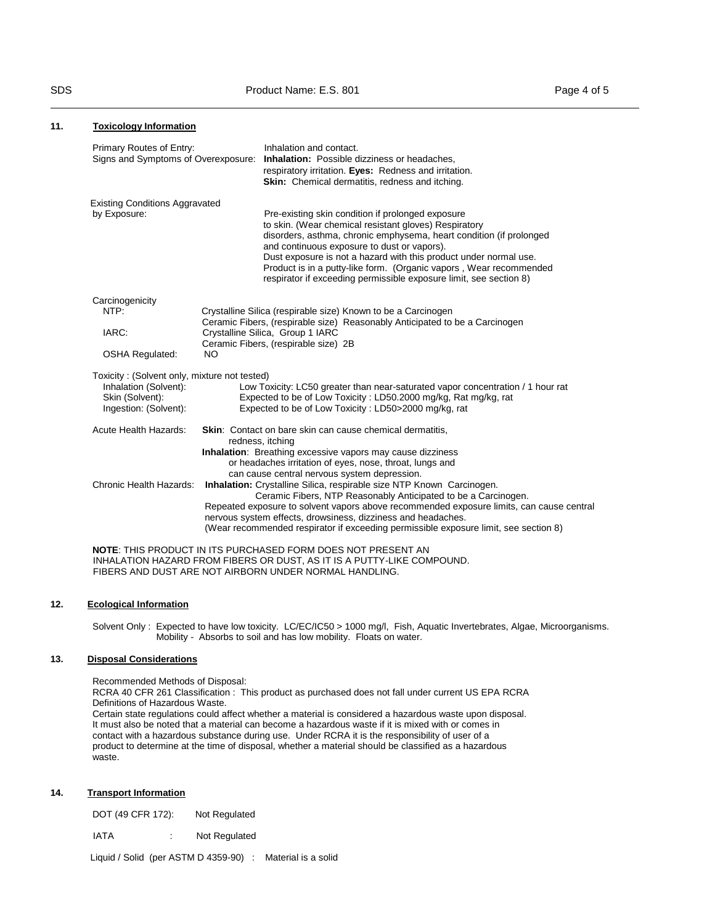| <u><b>REPORT THE REPORT OF THE REPORT</b></u>                                                                     |                                                                                                                                                         |                                                                                                                                                                                                                                                                                                                                                                                                                                                   |
|-------------------------------------------------------------------------------------------------------------------|---------------------------------------------------------------------------------------------------------------------------------------------------------|---------------------------------------------------------------------------------------------------------------------------------------------------------------------------------------------------------------------------------------------------------------------------------------------------------------------------------------------------------------------------------------------------------------------------------------------------|
| Primary Routes of Entry:                                                                                          |                                                                                                                                                         | Inhalation and contact.<br>Signs and Symptoms of Overexposure: Inhalation: Possible dizziness or headaches,<br>respiratory irritation. Eyes: Redness and irritation.<br>Skin: Chemical dermatitis, redness and itching.                                                                                                                                                                                                                           |
| <b>Existing Conditions Aggravated</b><br>by Exposure:                                                             |                                                                                                                                                         | Pre-existing skin condition if prolonged exposure<br>to skin. (Wear chemical resistant gloves) Respiratory<br>disorders, asthma, chronic emphysema, heart condition (if prolonged<br>and continuous exposure to dust or vapors).<br>Dust exposure is not a hazard with this product under normal use.<br>Product is in a putty-like form. (Organic vapors, Wear recommended<br>respirator if exceeding permissible exposure limit, see section 8) |
| Carcinogenicity                                                                                                   |                                                                                                                                                         |                                                                                                                                                                                                                                                                                                                                                                                                                                                   |
| NTP:                                                                                                              |                                                                                                                                                         | Crystalline Silica (respirable size) Known to be a Carcinogen                                                                                                                                                                                                                                                                                                                                                                                     |
| IARC:                                                                                                             | Ceramic Fibers, (respirable size) Reasonably Anticipated to be a Carcinogen<br>Crystalline Silica, Group 1 IARC<br>Ceramic Fibers, (respirable size) 2B |                                                                                                                                                                                                                                                                                                                                                                                                                                                   |
| <b>OSHA Regulated:</b>                                                                                            | <b>NO</b>                                                                                                                                               |                                                                                                                                                                                                                                                                                                                                                                                                                                                   |
| Toxicity: (Solvent only, mixture not tested)<br>Inhalation (Solvent):<br>Skin (Solvent):<br>Ingestion: (Solvent): |                                                                                                                                                         | Low Toxicity: LC50 greater than near-saturated vapor concentration / 1 hour rat<br>Expected to be of Low Toxicity: LD50.2000 mg/kg, Rat mg/kg, rat<br>Expected to be of Low Toxicity: LD50>2000 mg/kg, rat                                                                                                                                                                                                                                        |
| Acute Health Hazards:                                                                                             |                                                                                                                                                         | <b>Skin:</b> Contact on bare skin can cause chemical dermatitis,<br>redness, itching                                                                                                                                                                                                                                                                                                                                                              |
|                                                                                                                   |                                                                                                                                                         | Inhalation: Breathing excessive vapors may cause dizziness<br>or headaches irritation of eyes, nose, throat, lungs and<br>can cause central nervous system depression.                                                                                                                                                                                                                                                                            |
| Chronic Health Hazards:                                                                                           |                                                                                                                                                         | Inhalation: Crystalline Silica, respirable size NTP Known Carcinogen.<br>Ceramic Fibers, NTP Reasonably Anticipated to be a Carcinogen.<br>Repeated exposure to solvent vapors above recommended exposure limits, can cause central<br>nervous system effects, drowsiness, dizziness and headaches.<br>(Wear recommended respirator if exceeding permissible exposure limit, see section 8)                                                       |
|                                                                                                                   |                                                                                                                                                         | <b>NOTE:</b> THIS PRODUCT IN ITS PURCHASED FORM DOES NOT PRESENT AN<br>INHALATION HAZARD FROM FIBERS OR DUST, AS IT IS A PUTTY-LIKE COMPOUND.<br>FIBERS AND DUST ARE NOT AIRBORN UNDER NORMAL HANDLING.                                                                                                                                                                                                                                           |

## **12. Ecological Information**

Solvent Only : Expected to have low toxicity. LC/EC/IC50 > 1000 mg/l, Fish, Aquatic Invertebrates, Algae, Microorganisms. Mobility - Absorbs to soil and has low mobility. Floats on water.

## **13. Disposal Considerations**

Recommended Methods of Disposal: RCRA 40 CFR 261 Classification : This product as purchased does not fall under current US EPA RCRA Definitions of Hazardous Waste. Certain state regulations could affect whether a material is considered a hazardous waste upon disposal. It must also be noted that a material can become a hazardous waste if it is mixed with or comes in contact with a hazardous substance during use. Under RCRA it is the responsibility of user of a product to determine at the time of disposal, whether a material should be classified as a hazardous waste.

## **14. Transport Information**

| DOT (49 CFR 172): | Not Regulated |
|-------------------|---------------|
|-------------------|---------------|

| <b>IATA</b> |  | Not Regulated |
|-------------|--|---------------|
|-------------|--|---------------|

Liquid / Solid (per ASTM D 4359-90) : Material is a solid

**11. Toxicology Information**